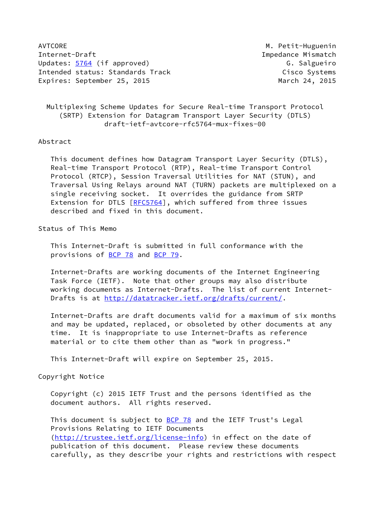AVTCORE AND AVIORE AND A SERVICE AND AVIORE AND A SERVICE AND A SERVICE AND A PETIT-Huguenin Internet-Draft Impedance Mismatch Updates: [5764](https://datatracker.ietf.org/doc/pdf/rfc5764) (if approved) G. Salgueiro Intended status: Standards Track Cisco Systems Expires: September 25, 2015 March 24, 2015

 Multiplexing Scheme Updates for Secure Real-time Transport Protocol (SRTP) Extension for Datagram Transport Layer Security (DTLS) draft-ietf-avtcore-rfc5764-mux-fixes-00

#### Abstract

 This document defines how Datagram Transport Layer Security (DTLS), Real-time Transport Protocol (RTP), Real-time Transport Control Protocol (RTCP), Session Traversal Utilities for NAT (STUN), and Traversal Using Relays around NAT (TURN) packets are multiplexed on a single receiving socket. It overrides the guidance from SRTP Extension for DTLS [[RFC5764\]](https://datatracker.ietf.org/doc/pdf/rfc5764), which suffered from three issues described and fixed in this document.

# Status of This Memo

 This Internet-Draft is submitted in full conformance with the provisions of [BCP 78](https://datatracker.ietf.org/doc/pdf/bcp78) and [BCP 79](https://datatracker.ietf.org/doc/pdf/bcp79).

 Internet-Drafts are working documents of the Internet Engineering Task Force (IETF). Note that other groups may also distribute working documents as Internet-Drafts. The list of current Internet- Drafts is at<http://datatracker.ietf.org/drafts/current/>.

 Internet-Drafts are draft documents valid for a maximum of six months and may be updated, replaced, or obsoleted by other documents at any time. It is inappropriate to use Internet-Drafts as reference material or to cite them other than as "work in progress."

This Internet-Draft will expire on September 25, 2015.

#### Copyright Notice

 Copyright (c) 2015 IETF Trust and the persons identified as the document authors. All rights reserved.

This document is subject to **[BCP 78](https://datatracker.ietf.org/doc/pdf/bcp78)** and the IETF Trust's Legal Provisions Relating to IETF Documents [\(http://trustee.ietf.org/license-info](http://trustee.ietf.org/license-info)) in effect on the date of publication of this document. Please review these documents carefully, as they describe your rights and restrictions with respect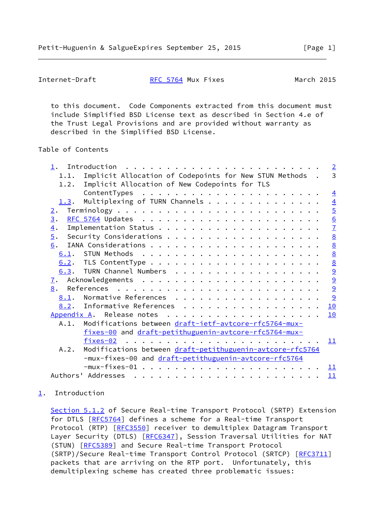<span id="page-1-1"></span>Internet-Draft [RFC 5764](https://datatracker.ietf.org/doc/pdf/rfc5764) Mux Fixes March 2015

 to this document. Code Components extracted from this document must include Simplified BSD License text as described in Section 4.e of the Trust Legal Provisions and are provided without warranty as described in the Simplified BSD License.

## Table of Contents

| $1$ .                                                 | $\overline{2}$                                               |  |  |
|-------------------------------------------------------|--------------------------------------------------------------|--|--|
| 1.1.                                                  | 3<br>Implicit Allocation of Codepoints for New STUN Methods. |  |  |
| 1.2.                                                  | Implicit Allocation of New Codepoints for TLS                |  |  |
|                                                       | $\overline{4}$                                               |  |  |
| 1.3.                                                  | Multiplexing of TURN Channels<br>$\overline{4}$              |  |  |
| $\overline{2}$ .                                      | $\overline{5}$                                               |  |  |
| $\underline{3}$ .                                     |                                                              |  |  |
| $\overline{4}$ .                                      | $\frac{6}{7}$                                                |  |  |
| $\overline{5}$ .                                      | $\underline{8}$                                              |  |  |
| 6.                                                    | $\underline{8}$                                              |  |  |
| 6.1.                                                  |                                                              |  |  |
|                                                       | 00 00 00 00                                                  |  |  |
|                                                       | 6.3. TURN Channel Numbers                                    |  |  |
| <u>7</u> .                                            |                                                              |  |  |
| 8.                                                    | $\overline{9}$                                               |  |  |
| 8.1.                                                  | 9<br>Normative References                                    |  |  |
|                                                       | 8.2. Informative References<br>10                            |  |  |
| Appendix A.                                           | 10                                                           |  |  |
| A.1.                                                  |                                                              |  |  |
| Modifications between draft-ietf-avtcore-rfc5764-mux- |                                                              |  |  |
|                                                       | fixes-00 and draft-petithuguenin-avtcore-rfc5764-mux-        |  |  |
|                                                       | fixes-02<br>11                                               |  |  |
| A.2.                                                  | Modifications between draft-petithuguenin-avtcore-rfc5764    |  |  |
|                                                       | -mux-fixes-00 and draft-petithuguenin-avtcore-rfc5764        |  |  |
|                                                       | 11                                                           |  |  |
|                                                       | Authors' Addresses<br>11                                     |  |  |

# <span id="page-1-0"></span>[1](#page-1-0). Introduction

Section 5.1.2 of Secure Real-time Transport Protocol (SRTP) Extension for DTLS [\[RFC5764](https://datatracker.ietf.org/doc/pdf/rfc5764)] defines a scheme for a Real-time Transport Protocol (RTP) [\[RFC3550](https://datatracker.ietf.org/doc/pdf/rfc3550)] receiver to demultiplex Datagram Transport Layer Security (DTLS) [[RFC6347](https://datatracker.ietf.org/doc/pdf/rfc6347)], Session Traversal Utilities for NAT (STUN) [\[RFC5389](https://datatracker.ietf.org/doc/pdf/rfc5389)] and Secure Real-time Transport Protocol (SRTP)/Secure Real-time Transport Control Protocol (SRTCP) [[RFC3711\]](https://datatracker.ietf.org/doc/pdf/rfc3711) packets that are arriving on the RTP port. Unfortunately, this demultiplexing scheme has created three problematic issues: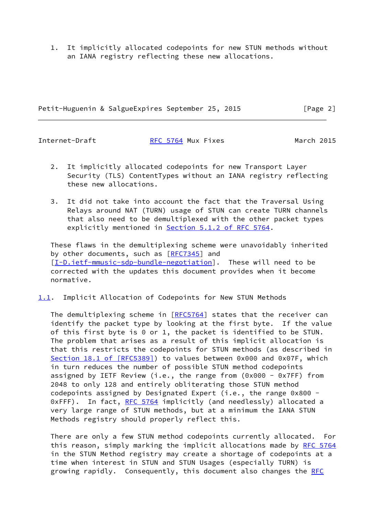1. It implicitly allocated codepoints for new STUN methods without an IANA registry reflecting these new allocations.

Petit-Huguenin & SalgueExpires September 25, 2015 [Page 2]

Internet-Draft **[RFC 5764](https://datatracker.ietf.org/doc/pdf/rfc5764) Mux Fixes** March 2015

- 2. It implicitly allocated codepoints for new Transport Layer Security (TLS) ContentTypes without an IANA registry reflecting these new allocations.
- 3. It did not take into account the fact that the Traversal Using Relays around NAT (TURN) usage of STUN can create TURN channels that also need to be demultiplexed with the other packet types explicitly mentioned in Section [5.1.2 of RFC 5764.](https://datatracker.ietf.org/doc/pdf/rfc5764#section-5.1.2)

 These flaws in the demultiplexing scheme were unavoidably inherited by other documents, such as [\[RFC7345](https://datatracker.ietf.org/doc/pdf/rfc7345)] and [\[I-D.ietf-mmusic-sdp-bundle-negotiation](#page-10-2)]. These will need to be corrected with the updates this document provides when it become normative.

<span id="page-2-0"></span>[1.1](#page-2-0). Implicit Allocation of Codepoints for New STUN Methods

 The demultiplexing scheme in [\[RFC5764](https://datatracker.ietf.org/doc/pdf/rfc5764)] states that the receiver can identify the packet type by looking at the first byte. If the value of this first byte is 0 or 1, the packet is identified to be STUN. The problem that arises as a result of this implicit allocation is that this restricts the codepoints for STUN methods (as described in Section [18.1 of \[RFC5389\]](https://datatracker.ietf.org/doc/pdf/rfc5389#section-18.1)) to values between 0x000 and 0x07F, which in turn reduces the number of possible STUN method codepoints assigned by IETF Review (i.e., the range from (0x000 - 0x7FF) from 2048 to only 128 and entirely obliterating those STUN method codepoints assigned by Designated Expert (i.e., the range 0x800 - 0xFFF). In fact, [RFC 5764](https://datatracker.ietf.org/doc/pdf/rfc5764) implicitly (and needlessly) allocated a very large range of STUN methods, but at a minimum the IANA STUN Methods registry should properly reflect this.

 There are only a few STUN method codepoints currently allocated. For this reason, simply marking the implicit allocations made by [RFC 5764](https://datatracker.ietf.org/doc/pdf/rfc5764) in the STUN Method registry may create a shortage of codepoints at a time when interest in STUN and STUN Usages (especially TURN) is growing rapidly. Consequently, this document also changes the [RFC](https://datatracker.ietf.org/doc/pdf/rfc5764)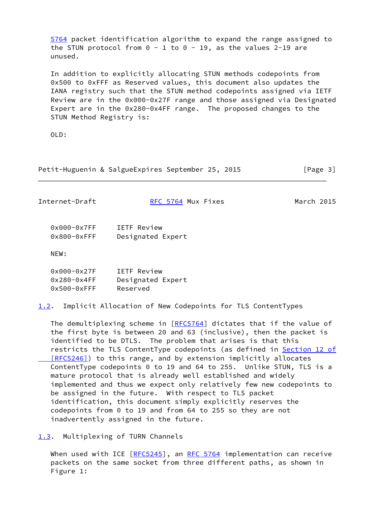[5764](https://datatracker.ietf.org/doc/pdf/rfc5764) packet identification algorithm to expand the range assigned to the STUN protocol from  $0 - 1$  to  $0 - 19$ , as the values 2-19 are unused.

 In addition to explicitly allocating STUN methods codepoints from 0x500 to 0xFFF as Reserved values, this document also updates the IANA registry such that the STUN method codepoints assigned via IETF Review are in the 0x000-0x27F range and those assigned via Designated Expert are in the 0x280-0x4FF range. The proposed changes to the STUN Method Registry is:

OLD:

Petit-Huguenin & SalgueExpires September 25, 2015 [Page 3]

<span id="page-3-0"></span>

| Internet-Draft                    | RFC 5764 Mux Fixes               | March 2015 |
|-----------------------------------|----------------------------------|------------|
| $0x000-0x7FF$<br>$0x800 - 0x$ FFF | IETF Review<br>Designated Expert |            |
| NEW:                              |                                  |            |

| $0x000 - 0x27F$ | <b>IETF Review</b> |
|-----------------|--------------------|
| $0x280 - 0x4FF$ | Designated Expert  |
| $0x500-0x$ FFF  | Reserved           |

<span id="page-3-2"></span>[1.2](#page-3-2). Implicit Allocation of New Codepoints for TLS ContentTypes

The demultiplexing scheme in [\[RFC5764](https://datatracker.ietf.org/doc/pdf/rfc5764)] dictates that if the value of the first byte is between 20 and 63 (inclusive), then the packet is identified to be DTLS. The problem that arises is that this restricts the TLS ContentType codepoints (as defined in [Section](https://datatracker.ietf.org/doc/pdf/rfc5246#section-12) 12 of [RFC5246]) to this range, and by extension implicitly allocates ContentType codepoints 0 to 19 and 64 to 255. Unlike STUN, TLS is a mature protocol that is already well established and widely implemented and thus we expect only relatively few new codepoints to be assigned in the future. With respect to TLS packet identification, this document simply explicitly reserves the codepoints from 0 to 19 and from 64 to 255 so they are not inadvertently assigned in the future.

<span id="page-3-1"></span>[1.3](#page-3-1). Multiplexing of TURN Channels

When used with ICE  $[REC5245]$ , an [RFC 5764](https://datatracker.ietf.org/doc/pdf/rfc5764) implementation can receive packets on the same socket from three different paths, as shown in Figure 1: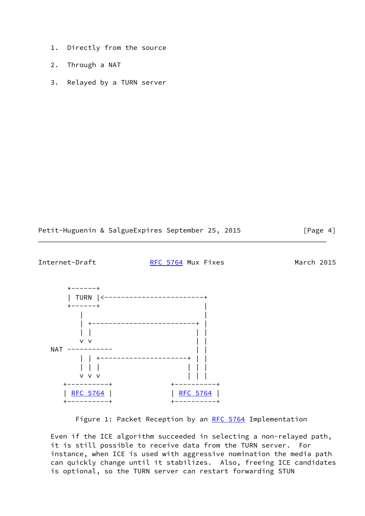- 1. Directly from the source
- 2. Through a NAT
- 3. Relayed by a TURN server

Petit-Huguenin & SalgueExpires September 25, 2015 [Page 4]

<span id="page-4-0"></span>Internet-Draft [RFC 5764](https://datatracker.ietf.org/doc/pdf/rfc5764) Mux Fixes March 2015



Figure 1: Packet Reception by an [RFC 5764](https://datatracker.ietf.org/doc/pdf/rfc5764) Implementation

 Even if the ICE algorithm succeeded in selecting a non-relayed path, it is still possible to receive data from the TURN server. For instance, when ICE is used with aggressive nomination the media path can quickly change until it stabilizes. Also, freeing ICE candidates is optional, so the TURN server can restart forwarding STUN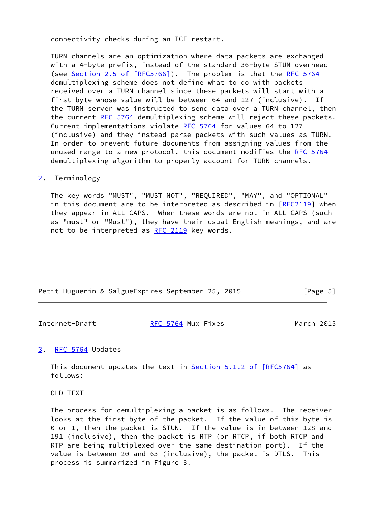connectivity checks during an ICE restart.

 TURN channels are an optimization where data packets are exchanged with a 4-byte prefix, instead of the standard 36-byte STUN overhead (see Section [2.5 of \[RFC5766\]](https://datatracker.ietf.org/doc/pdf/rfc5766#section-2.5)). The problem is that the [RFC 5764](https://datatracker.ietf.org/doc/pdf/rfc5764) demultiplexing scheme does not define what to do with packets received over a TURN channel since these packets will start with a first byte whose value will be between 64 and 127 (inclusive). If the TURN server was instructed to send data over a TURN channel, then the current [RFC 5764](https://datatracker.ietf.org/doc/pdf/rfc5764) demultiplexing scheme will reject these packets. Current implementations violate [RFC 5764](https://datatracker.ietf.org/doc/pdf/rfc5764) for values 64 to 127 (inclusive) and they instead parse packets with such values as TURN. In order to prevent future documents from assigning values from the unused range to a new protocol, this document modifies the [RFC 5764](https://datatracker.ietf.org/doc/pdf/rfc5764) demultiplexing algorithm to properly account for TURN channels.

## <span id="page-5-0"></span>[2](#page-5-0). Terminology

 The key words "MUST", "MUST NOT", "REQUIRED", "MAY", and "OPTIONAL" in this document are to be interpreted as described in [\[RFC2119](https://datatracker.ietf.org/doc/pdf/rfc2119)] when they appear in ALL CAPS. When these words are not in ALL CAPS (such as "must" or "Must"), they have their usual English meanings, and are not to be interpreted as [RFC 2119](https://datatracker.ietf.org/doc/pdf/rfc2119) key words.

Petit-Huguenin & SalgueExpires September 25, 2015 [Page 5]

<span id="page-5-2"></span>Internet-Draft **[RFC 5764](https://datatracker.ietf.org/doc/pdf/rfc5764) Mux Fixes** March 2015

## <span id="page-5-1"></span>[3](#page-5-1). [RFC 5764](https://datatracker.ietf.org/doc/pdf/rfc5764) Updates

This document updates the text in **Section 5.1.2 of [RFC5764]** as follows:

OLD TEXT

 The process for demultiplexing a packet is as follows. The receiver looks at the first byte of the packet. If the value of this byte is 0 or 1, then the packet is STUN. If the value is in between 128 and 191 (inclusive), then the packet is RTP (or RTCP, if both RTCP and RTP are being multiplexed over the same destination port). If the value is between 20 and 63 (inclusive), the packet is DTLS. This process is summarized in Figure 3.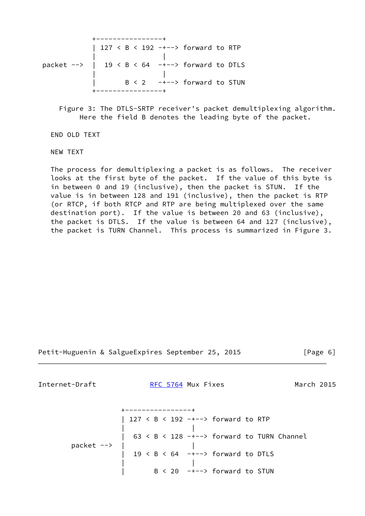

 Figure 3: The DTLS-SRTP receiver's packet demultiplexing algorithm. Here the field B denotes the leading byte of the packet.

END OLD TEXT

NEW TEXT

 The process for demultiplexing a packet is as follows. The receiver looks at the first byte of the packet. If the value of this byte is in between 0 and 19 (inclusive), then the packet is STUN. If the value is in between 128 and 191 (inclusive), then the packet is RTP (or RTCP, if both RTCP and RTP are being multiplexed over the same destination port). If the value is between 20 and 63 (inclusive), the packet is DTLS. If the value is between 64 and 127 (inclusive), the packet is TURN Channel. This process is summarized in Figure 3.

Petit-Huguenin & SalgueExpires September 25, 2015 [Page 6]

<span id="page-6-0"></span>Internet-Draft [RFC 5764](https://datatracker.ietf.org/doc/pdf/rfc5764) Mux Fixes March 2015

 +----------------+ | 127 < B < 192 -+--> forward to RTP | | | 63 < B < 128 -+--> forward to TURN Channel packet --> | | | 19 < B < 64 -+--> forward to DTLS | |  $B < 20$  -+--> forward to STUN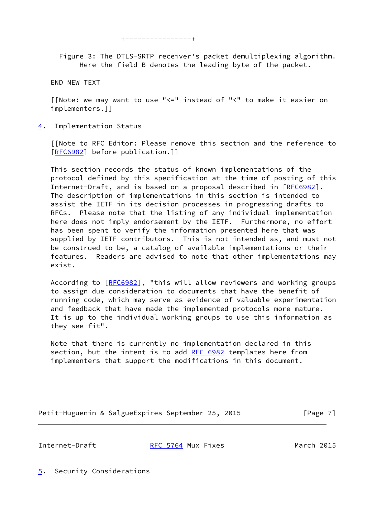+----------------+

 Figure 3: The DTLS-SRTP receiver's packet demultiplexing algorithm. Here the field B denotes the leading byte of the packet.

END NEW TEXT

 [[Note: we may want to use "<=" instead of "<" to make it easier on implementers.]]

<span id="page-7-0"></span>[4](#page-7-0). Implementation Status

 [[Note to RFC Editor: Please remove this section and the reference to [\[RFC6982](https://datatracker.ietf.org/doc/pdf/rfc6982)] before publication.]]

 This section records the status of known implementations of the protocol defined by this specification at the time of posting of this Internet-Draft, and is based on a proposal described in [\[RFC6982](https://datatracker.ietf.org/doc/pdf/rfc6982)]. The description of implementations in this section is intended to assist the IETF in its decision processes in progressing drafts to RFCs. Please note that the listing of any individual implementation here does not imply endorsement by the IETF. Furthermore, no effort has been spent to verify the information presented here that was supplied by IETF contributors. This is not intended as, and must not be construed to be, a catalog of available implementations or their features. Readers are advised to note that other implementations may exist.

 According to [\[RFC6982](https://datatracker.ietf.org/doc/pdf/rfc6982)], "this will allow reviewers and working groups to assign due consideration to documents that have the benefit of running code, which may serve as evidence of valuable experimentation and feedback that have made the implemented protocols more mature. It is up to the individual working groups to use this information as they see fit".

 Note that there is currently no implementation declared in this section, but the intent is to add [RFC 6982](https://datatracker.ietf.org/doc/pdf/rfc6982) templates here from implementers that support the modifications in this document.

Petit-Huguenin & SalgueExpires September 25, 2015 [Page 7]

<span id="page-7-2"></span>

Internet-Draft **[RFC 5764](https://datatracker.ietf.org/doc/pdf/rfc5764) Mux Fixes** March 2015

<span id="page-7-1"></span>[5](#page-7-1). Security Considerations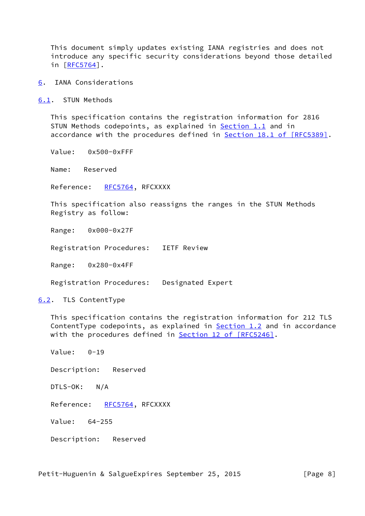This document simply updates existing IANA registries and does not introduce any specific security considerations beyond those detailed in [[RFC5764\]](https://datatracker.ietf.org/doc/pdf/rfc5764).

<span id="page-8-0"></span>[6](#page-8-0). IANA Considerations

<span id="page-8-1"></span>[6.1](#page-8-1). STUN Methods

 This specification contains the registration information for 2816 STUN Methods codepoints, as explained in **Section 1.1** and in accordance with the procedures defined in **Section 18.1 of [RFC5389]**.

Value: 0x500-0xFFF

Name: Reserved

Reference: [RFC5764](https://datatracker.ietf.org/doc/pdf/rfc5764), RFCXXXX

 This specification also reassigns the ranges in the STUN Methods Registry as follow:

Range: 0x000-0x27F

Registration Procedures: IETF Review

Range: 0x280-0x4FF

Registration Procedures: Designated Expert

<span id="page-8-2"></span>[6.2](#page-8-2). TLS ContentType

 This specification contains the registration information for 212 TLS ContentType codepoints, as explained in **Section 1.2** and in accordance with the procedures defined in Section [12 of \[RFC5246\]](https://datatracker.ietf.org/doc/pdf/rfc5246#section-12).

Value: 0-19

Description: Reserved

DTLS-OK: N/A

Reference: [RFC5764](https://datatracker.ietf.org/doc/pdf/rfc5764), RFCXXXX

Value: 64-255

Description: Reserved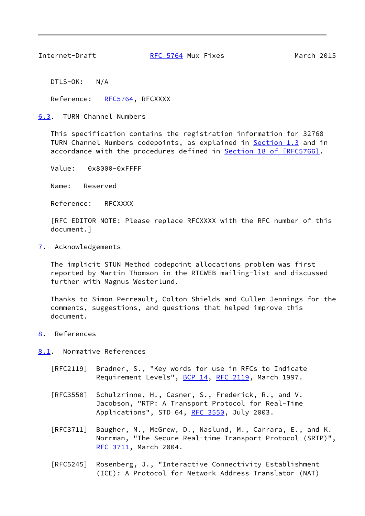<span id="page-9-1"></span>

Internet-Draft [RFC 5764](https://datatracker.ietf.org/doc/pdf/rfc5764) Mux Fixes March 2015

DTLS-OK: N/A

Reference: [RFC5764](https://datatracker.ietf.org/doc/pdf/rfc5764), RFCXXXX

<span id="page-9-0"></span>[6.3](#page-9-0). TURN Channel Numbers

 This specification contains the registration information for 32768 TURN Channel Numbers codepoints, as explained in [Section 1.3](#page-3-1) and in accordance with the procedures defined in **Section [18 of \[RFC5766\]](https://datatracker.ietf.org/doc/pdf/rfc5766#section-18)**.

Value: 0x8000-0xFFFF

Name: Reserved

Reference: RFCXXXX

 [RFC EDITOR NOTE: Please replace RFCXXXX with the RFC number of this document.]

<span id="page-9-2"></span>[7](#page-9-2). Acknowledgements

 The implicit STUN Method codepoint allocations problem was first reported by Martin Thomson in the RTCWEB mailing-list and discussed further with Magnus Westerlund.

 Thanks to Simon Perreault, Colton Shields and Cullen Jennings for the comments, suggestions, and questions that helped improve this document.

<span id="page-9-3"></span>[8](#page-9-3). References

<span id="page-9-4"></span>[8.1](#page-9-4). Normative References

- [RFC2119] Bradner, S., "Key words for use in RFCs to Indicate Requirement Levels", [BCP 14](https://datatracker.ietf.org/doc/pdf/bcp14), [RFC 2119](https://datatracker.ietf.org/doc/pdf/rfc2119), March 1997.
- [RFC3550] Schulzrinne, H., Casner, S., Frederick, R., and V. Jacobson, "RTP: A Transport Protocol for Real-Time Applications", STD 64, [RFC 3550](https://datatracker.ietf.org/doc/pdf/rfc3550), July 2003.
- [RFC3711] Baugher, M., McGrew, D., Naslund, M., Carrara, E., and K. Norrman, "The Secure Real-time Transport Protocol (SRTP)", [RFC 3711,](https://datatracker.ietf.org/doc/pdf/rfc3711) March 2004.
- [RFC5245] Rosenberg, J., "Interactive Connectivity Establishment (ICE): A Protocol for Network Address Translator (NAT)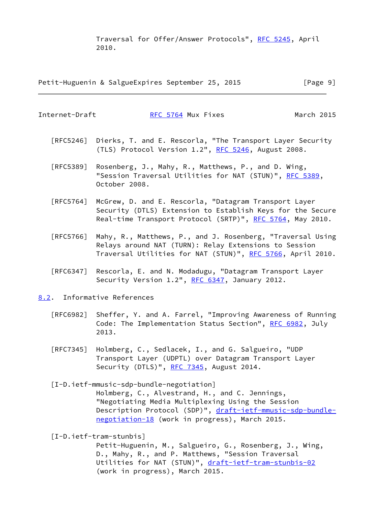Traversal for Offer/Answer Protocols", [RFC 5245](https://datatracker.ietf.org/doc/pdf/rfc5245), April 2010.

Petit-Huguenin & SalgueExpires September 25, 2015 [Page 9]

<span id="page-10-1"></span>Internet-Draft [RFC 5764](https://datatracker.ietf.org/doc/pdf/rfc5764) Mux Fixes March 2015

- [RFC5246] Dierks, T. and E. Rescorla, "The Transport Layer Security (TLS) Protocol Version 1.2", [RFC 5246](https://datatracker.ietf.org/doc/pdf/rfc5246), August 2008.
- [RFC5389] Rosenberg, J., Mahy, R., Matthews, P., and D. Wing, "Session Traversal Utilities for NAT (STUN)", [RFC 5389](https://datatracker.ietf.org/doc/pdf/rfc5389), October 2008.
- [RFC5764] McGrew, D. and E. Rescorla, "Datagram Transport Layer Security (DTLS) Extension to Establish Keys for the Secure Real-time Transport Protocol (SRTP)", [RFC 5764](https://datatracker.ietf.org/doc/pdf/rfc5764), May 2010.
- [RFC5766] Mahy, R., Matthews, P., and J. Rosenberg, "Traversal Using Relays around NAT (TURN): Relay Extensions to Session Traversal Utilities for NAT (STUN)", [RFC 5766](https://datatracker.ietf.org/doc/pdf/rfc5766), April 2010.
- [RFC6347] Rescorla, E. and N. Modadugu, "Datagram Transport Layer Security Version 1.2", [RFC 6347](https://datatracker.ietf.org/doc/pdf/rfc6347), January 2012.
- <span id="page-10-0"></span>[8.2](#page-10-0). Informative References
	- [RFC6982] Sheffer, Y. and A. Farrel, "Improving Awareness of Running Code: The Implementation Status Section", [RFC 6982](https://datatracker.ietf.org/doc/pdf/rfc6982), July 2013.
	- [RFC7345] Holmberg, C., Sedlacek, I., and G. Salgueiro, "UDP Transport Layer (UDPTL) over Datagram Transport Layer Security (DTLS)", [RFC 7345](https://datatracker.ietf.org/doc/pdf/rfc7345), August 2014.

<span id="page-10-2"></span> [I-D.ietf-mmusic-sdp-bundle-negotiation] Holmberg, C., Alvestrand, H., and C. Jennings, "Negotiating Media Multiplexing Using the Session Description Protocol (SDP)", [draft-ietf-mmusic-sdp-bundle](https://datatracker.ietf.org/doc/pdf/draft-ietf-mmusic-sdp-bundle-negotiation-18) [negotiation-18](https://datatracker.ietf.org/doc/pdf/draft-ietf-mmusic-sdp-bundle-negotiation-18) (work in progress), March 2015.

[I-D.ietf-tram-stunbis]

 Petit-Huguenin, M., Salgueiro, G., Rosenberg, J., Wing, D., Mahy, R., and P. Matthews, "Session Traversal Utilities for NAT (STUN)", [draft-ietf-tram-stunbis-02](https://datatracker.ietf.org/doc/pdf/draft-ietf-tram-stunbis-02) (work in progress), March 2015.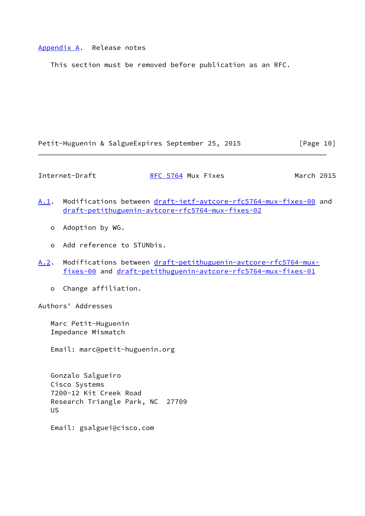## <span id="page-11-0"></span>[Appendix A.](#page-11-0) Release notes

This section must be removed before publication as an RFC.

Petit-Huguenin & SalgueExpires September 25, 2015 [Page 10]

<span id="page-11-1"></span>Internet-Draft [RFC 5764](https://datatracker.ietf.org/doc/pdf/rfc5764) Mux Fixes March 2015

- <span id="page-11-2"></span>[A.1](#page-11-2). Modifications between [draft-ietf-avtcore-rfc5764-mux-fixes-00](https://datatracker.ietf.org/doc/pdf/draft-ietf-avtcore-rfc5764-mux-fixes-00) and [draft-petithuguenin-avtcore-rfc5764-mux-fixes-02](https://datatracker.ietf.org/doc/pdf/draft-petithuguenin-avtcore-rfc5764-mux-fixes-02)
	- o Adoption by WG.
	- o Add reference to STUNbis.
- <span id="page-11-3"></span>[A.2](#page-11-3). Modifications between [draft-petithuguenin-avtcore-rfc5764-mux](https://datatracker.ietf.org/doc/pdf/draft-petithuguenin-avtcore-rfc5764-mux-fixes-00) [fixes-00](https://datatracker.ietf.org/doc/pdf/draft-petithuguenin-avtcore-rfc5764-mux-fixes-00) and [draft-petithuguenin-avtcore-rfc5764-mux-fixes-01](https://datatracker.ietf.org/doc/pdf/draft-petithuguenin-avtcore-rfc5764-mux-fixes-01)
	- o Change affiliation.

Authors' Addresses

 Marc Petit-Huguenin Impedance Mismatch

Email: marc@petit-huguenin.org

 Gonzalo Salgueiro Cisco Systems 7200-12 Kit Creek Road Research Triangle Park, NC 27709 US

Email: gsalguei@cisco.com